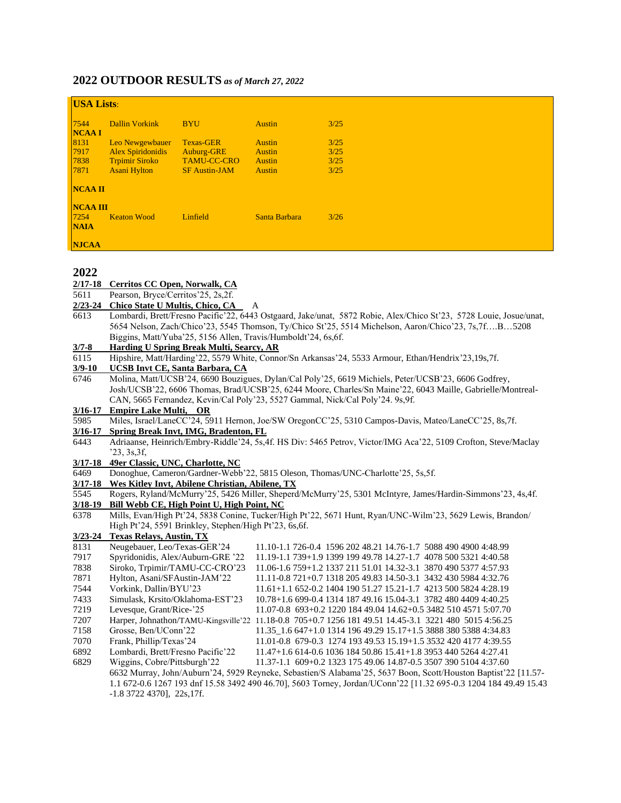## **2022 OUTDOOR RESULTS** *as of March 27, 2022*

| <b>USA Lists:</b>    |                          |                      |               |      |  |  |  |
|----------------------|--------------------------|----------------------|---------------|------|--|--|--|
| 7544<br><b>NCAAI</b> | <b>Dallin Vorkink</b>    | <b>BYU</b>           | <b>Austin</b> | 3/25 |  |  |  |
| 8131                 | Leo Newgewbauer          | Texas-GER            | <b>Austin</b> | 3/25 |  |  |  |
| 7917                 | <b>Alex Spiridonidis</b> | Auburg-GRE           | <b>Austin</b> | 3/25 |  |  |  |
| 7838                 | <b>Trpimir Siroko</b>    | <b>TAMU-CC-CRO</b>   | <b>Austin</b> | 3/25 |  |  |  |
| 7871                 | <b>Asani Hylton</b>      | <b>SF Austin-JAM</b> | <b>Austin</b> | 3/25 |  |  |  |
| NCAA II              |                          |                      |               |      |  |  |  |
| <b>NCAA III</b>      |                          |                      |               |      |  |  |  |
| $7254$               | <b>Keaton Wood</b>       | Linfield             | Santa Barbara | 3/26 |  |  |  |
| <b>NAIA</b>          |                          |                      |               |      |  |  |  |
| <b>NJCAA</b>         |                          |                      |               |      |  |  |  |

### **2022**

2/17-18 **Cerritos CC Open, Norwalk, CA**<br>5611 **Pearson, Bryce/Cerritos**'25, 2s, 2f.

- Pearson, Bryce/Cerritos'25, 2s,2f.
- **2/23-24 Chico State U Multis, Chico, CA** A
- 6613 Lombardi, Brett/Fresno Pacific'22, 6443 Ostgaard, Jake/unat, 5872 Robie, Alex/Chico St'23, 5728 Louie, Josue/unat, 5654 Nelson, Zach/Chico'23, 5545 Thomson, Ty/Chico St'25, 5514 Michelson, Aaron/Chico'23, 7s,7f….B…5208 Biggins, Matt/Yuba'25, 5156 Allen, Travis/Humboldt'24, 6s,6f.
- **3/7-8 Harding U Spring Break Multi, Searcy, AR**
- 6115 Hipshire, Matt/Harding'22, 5579 White, Connor/Sn Arkansas'24, 5533 Armour, Ethan/Hendrix'23,19s,7f.<br>3/9-10 UCSB Invt CE, Santa Barbara, CA

# **3/9-10 UCSB Invt CE, Santa Barbara, CA**

6746 Molina, Matt/UCSB'24, 6690 Bouzigues, Dylan/Cal Poly'25, 6619 Michiels, Peter/UCSB'23, 6606 Godfrey, Josh/UCSB'22, 6606 Thomas, Brad/UCSB'25, 6244 Moore, Charles/Sn Maine'22, 6043 Maille, Gabrielle/Montreal-CAN, 5665 Fernandez, Kevin/Cal Poly'23, 5527 Gammal, Nick/Cal Poly'24. 9s,9f.

#### **3/16-17 Empire Lake Multi, OR**

5985 Miles, Israel/LaneCC'24, 5911 Hernon, Joe/SW OregonCC'25, 5310 Campos-Davis, Mateo/LaneCC'25, 8s,7f.

#### **3/16-17 Spring Break Invt, IMG, Bradenton, FL**

- 6443 Adriaanse, Heinrich/Embry-Riddle'24, 5s,4f. HS Div: 5465 Petrov, Victor/IMG Aca'22, 5109 Crofton, Steve/Maclay '23, 3s,3f,
- **3/17-18 49er Classic, UNC, Charlotte, NC**
- 6469 Donoghue, Cameron/Gardner-Webb'22, 5815 Oleson, Thomas/UNC-Charlotte'25, 5s,5f.

## **3/17-18 Wes Kitley Invt, Abilene Christian, Abilene, TX**

| 5545 | Rogers, Ryland/McMurry'25, 5426 Miller, Sheperd/McMurry'25, 5301 McIntyre, James/Hardin-Simmons'23, 4s,4f. |  |
|------|------------------------------------------------------------------------------------------------------------|--|
|      | 3/18-19 Bill Webb CE, High Point U, High Point, NC                                                         |  |

6378 Mills, Evan/High Pt'24, 5838 Conine, Tucker/High Pt'22, 5671 Hunt, Ryan/UNC-Wilm'23, 5629 Lewis, Brandon/ High Pt'24, 5591 Brinkley, Stephen/High Pt'23, 6s,6f.

#### **3/23-24 Texas Relays, Austin, TX**

| 8131 | Neugebauer, Leo/Texas-GER'24                                                                                   | 11.10-1.1 726-0.4 1596 202 48.21 14.76-1.7 5088 490 4900 4:48.99                                                 |  |  |  |
|------|----------------------------------------------------------------------------------------------------------------|------------------------------------------------------------------------------------------------------------------|--|--|--|
| 7917 | Spyridonidis, Alex/Auburn-GRE '22                                                                              | 11.19-1.1 739+1.9 1399 199 49.78 14.27-1.7 4078 500 5321 4:40.58                                                 |  |  |  |
| 7838 | Siroko, Trpimir/TAMU-CC-CRO'23                                                                                 | 11.06-1.6 759+1.2 1337 211 51.01 14.32-3.1 3870 490 5377 4:57.93                                                 |  |  |  |
| 7871 | Hylton, Asani/SFAustin-JAM'22                                                                                  | 11.11-0.8 721+0.7 1318 205 49.83 14.50-3.1 3432 430 5984 4:32.76                                                 |  |  |  |
| 7544 | Vorkink, Dallin/BYU'23                                                                                         | $11.61+1.1652-0.2140419051.2715.21-1.7421350058244:28.19$                                                        |  |  |  |
| 7433 | Simulask, Krsito/Oklahoma-EST'23                                                                               | 10.78+1.6 699-0.4 1314 187 49.16 15.04-3.1 3782 480 4409 4:40.25                                                 |  |  |  |
| 7219 | Levesque, Grant/Rice-'25                                                                                       | 11.07-0.8 693+0.2 1220 184 49.04 14.62+0.5 3482 510 4571 5:07.70                                                 |  |  |  |
| 7207 |                                                                                                                | Harper, Johnathon/TAMU-Kingsville'22 11.18-0.8 705+0.7 1256 181 49.51 14.45-3.1 3221 480 5015 4:56.25            |  |  |  |
| 7158 | Grosse, Ben/UConn'22                                                                                           | 11.35 1.6 647+1.0 1314 196 49.29 15.17+1.5 3888 380 5388 4:34.83                                                 |  |  |  |
| 7070 | Frank, Phillip/Texas'24                                                                                        | $11.01 - 0.8$ 679 - 0.3 1274 193 49.53 15.19 + 1.5 3532 420 4177 4:39.55                                         |  |  |  |
| 6892 | Lombardi, Brett/Fresno Pacific'22                                                                              | 11.47+1.6 614-0.6 1036 184 50.86 15.41+1.8 3953 440 5264 4:27.41                                                 |  |  |  |
| 6829 | Wiggins, Cobre/Pittsburgh'22                                                                                   | 11.37-1.1 609+0.2 1323 175 49.06 14.87-0.5 3507 390 5104 4:37.60                                                 |  |  |  |
|      | 6632 Murray, John/Auburn'24, 5929 Reyneke, Sebastien/S Alabama'25, 5637 Boon, Scott/Houston Baptist'22 [11.57- |                                                                                                                  |  |  |  |
|      |                                                                                                                | 1.1 672-0.6 1267 193 dnf 15.58 3492 490 46.70], 5603 Torney, Jordan/UConn'22 [11.32 695-0.3 1204 184 49.49 15.43 |  |  |  |
|      | $-1.8$ 3722 4370], 22s, 17f.                                                                                   |                                                                                                                  |  |  |  |